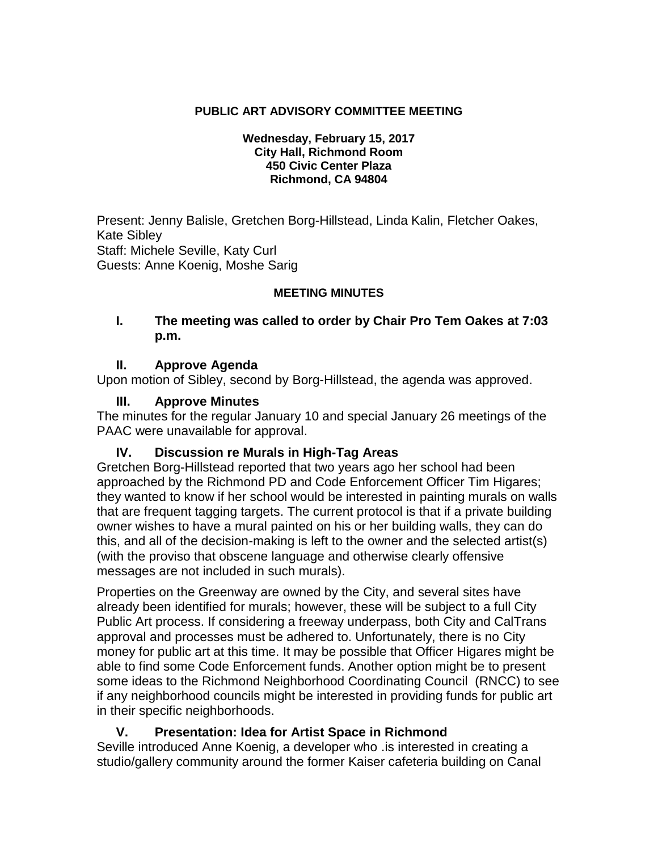## **PUBLIC ART ADVISORY COMMITTEE MEETING**

#### **Wednesday, February 15, 2017 City Hall, Richmond Room 450 Civic Center Plaza Richmond, CA 94804**

Present: Jenny Balisle, Gretchen Borg-Hillstead, Linda Kalin, Fletcher Oakes, Kate Sibley Staff: Michele Seville, Katy Curl Guests: Anne Koenig, Moshe Sarig

### **MEETING MINUTES**

### **I. The meeting was called to order by Chair Pro Tem Oakes at 7:03 p.m.**

### **II. Approve Agenda**

Upon motion of Sibley, second by Borg-Hillstead, the agenda was approved.

## **III. Approve Minutes**

The minutes for the regular January 10 and special January 26 meetings of the PAAC were unavailable for approval.

### **IV. Discussion re Murals in High-Tag Areas**

Gretchen Borg-Hillstead reported that two years ago her school had been approached by the Richmond PD and Code Enforcement Officer Tim Higares; they wanted to know if her school would be interested in painting murals on walls that are frequent tagging targets. The current protocol is that if a private building owner wishes to have a mural painted on his or her building walls, they can do this, and all of the decision-making is left to the owner and the selected artist(s) (with the proviso that obscene language and otherwise clearly offensive messages are not included in such murals).

Properties on the Greenway are owned by the City, and several sites have already been identified for murals; however, these will be subject to a full City Public Art process. If considering a freeway underpass, both City and CalTrans approval and processes must be adhered to. Unfortunately, there is no City money for public art at this time. It may be possible that Officer Higares might be able to find some Code Enforcement funds. Another option might be to present some ideas to the Richmond Neighborhood Coordinating Council (RNCC) to see if any neighborhood councils might be interested in providing funds for public art in their specific neighborhoods.

## **V. Presentation: Idea for Artist Space in Richmond**

Seville introduced Anne Koenig, a developer who .is interested in creating a studio/gallery community around the former Kaiser cafeteria building on Canal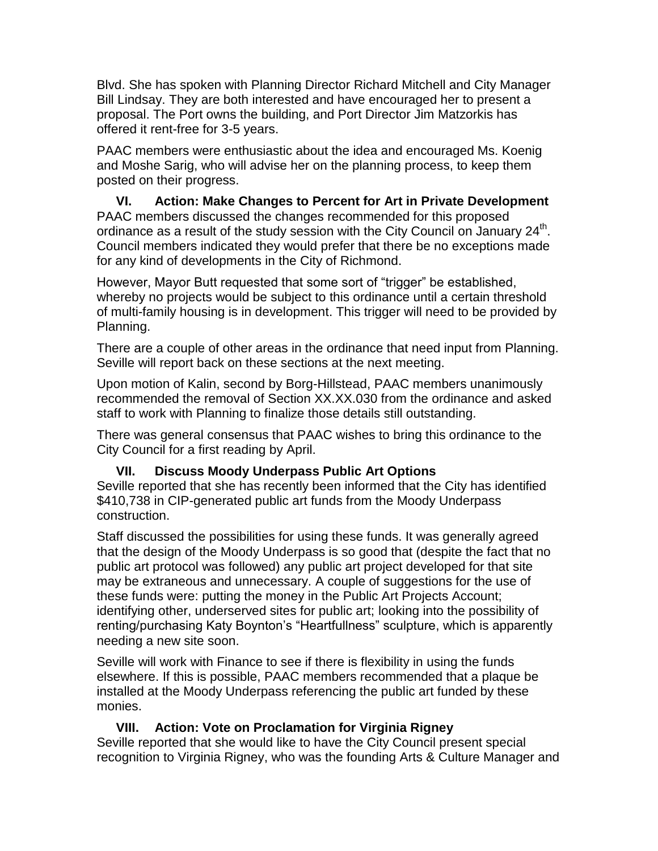Blvd. She has spoken with Planning Director Richard Mitchell and City Manager Bill Lindsay. They are both interested and have encouraged her to present a proposal. The Port owns the building, and Port Director Jim Matzorkis has offered it rent-free for 3-5 years.

PAAC members were enthusiastic about the idea and encouraged Ms. Koenig and Moshe Sarig, who will advise her on the planning process, to keep them posted on their progress.

#### **VI. Action: Make Changes to Percent for Art in Private Development** PAAC members discussed the changes recommended for this proposed ordinance as a result of the study session with the City Council on January  $24<sup>th</sup>$ . Council members indicated they would prefer that there be no exceptions made for any kind of developments in the City of Richmond.

However, Mayor Butt requested that some sort of "trigger" be established, whereby no projects would be subject to this ordinance until a certain threshold of multi-family housing is in development. This trigger will need to be provided by Planning.

There are a couple of other areas in the ordinance that need input from Planning. Seville will report back on these sections at the next meeting.

Upon motion of Kalin, second by Borg-Hillstead, PAAC members unanimously recommended the removal of Section XX.XX.030 from the ordinance and asked staff to work with Planning to finalize those details still outstanding.

There was general consensus that PAAC wishes to bring this ordinance to the City Council for a first reading by April.

## **VII. Discuss Moody Underpass Public Art Options**

Seville reported that she has recently been informed that the City has identified \$410,738 in CIP-generated public art funds from the Moody Underpass construction.

Staff discussed the possibilities for using these funds. It was generally agreed that the design of the Moody Underpass is so good that (despite the fact that no public art protocol was followed) any public art project developed for that site may be extraneous and unnecessary. A couple of suggestions for the use of these funds were: putting the money in the Public Art Projects Account; identifying other, underserved sites for public art; looking into the possibility of renting/purchasing Katy Boynton's "Heartfullness" sculpture, which is apparently needing a new site soon.

Seville will work with Finance to see if there is flexibility in using the funds elsewhere. If this is possible, PAAC members recommended that a plaque be installed at the Moody Underpass referencing the public art funded by these monies.

## **VIII. Action: Vote on Proclamation for Virginia Rigney**

Seville reported that she would like to have the City Council present special recognition to Virginia Rigney, who was the founding Arts & Culture Manager and